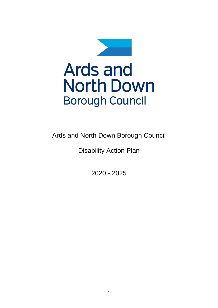

Ards and North Down Borough Council

Disability Action Plan

2020 - 2025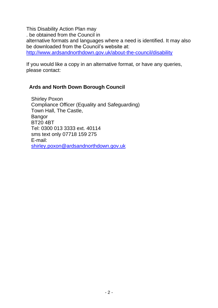This Disability Action Plan may . be obtained from the Council in alternative formats and languages where a need is identified. It may also be downloaded from the Council's website at: <http://www.ardsandnorthdown.gov.uk/about-the-council/disability>

If you would like a copy in an alternative format, or have any queries, please contact:

### **Ards and North Down Borough Council**

Shirley Poxon Compliance Officer (Equality and Safeguarding) Town Hall, The Castle, Bangor BT20 4BT Tel: 0300 013 3333 ext. 40114 sms text only 07718 159 275 E-mail: [shirley.poxon@ardsandnorthdown.gov.uk](mailto:shirley.poxon@ardsandnorthdown.gov.uk)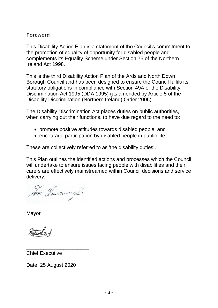### **Foreword**

This Disability Action Plan is a statement of the Council's commitment to the promotion of equality of opportunity for disabled people and complements its Equality Scheme under Section 75 of the Northern Ireland Act 1998.

This is the third Disability Action Plan of the Ards and North Down Borough Council and has been designed to ensure the Council fulfils its statutory obligations in compliance with Section 49A of the Disability Discrimination Act 1995 (DDA 1995) (as amended by Article 5 of the Disability Discrimination (Northern Ireland) Order 2006).

The Disability Discrimination Act places duties on public authorities, when carrying out their functions, to have due regard to the need to:

- promote positive attitudes towards disabled people; and
- encourage participation by disabled people in public life.

These are collectively referred to as 'the disability duties'.

This Plan outlines the identified actions and processes which the Council will undertake to ensure issues facing people with disabilities and their carers are effectively mainstreamed within Council decisions and service delivery.

har Gunnwing &

\_\_\_\_\_\_\_\_\_\_\_\_\_\_\_\_\_\_\_\_\_\_\_\_\_\_\_ Mayor

Chief Executive

Date: 25 August 2020

\_\_\_\_\_\_\_\_\_\_\_\_\_\_\_\_\_\_\_\_\_\_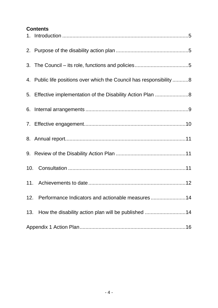### **Contents**

| 4. Public life positions over which the Council has responsibility 8 |
|----------------------------------------------------------------------|
| 5. Effective implementation of the Disability Action Plan 8          |
|                                                                      |
|                                                                      |
|                                                                      |
|                                                                      |
|                                                                      |
|                                                                      |
| 12. Performance Indicators and actionable measures14                 |
| 13. How the disability action plan will be published 14              |
|                                                                      |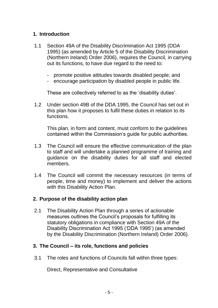### <span id="page-4-0"></span>**1. Introduction**

- 1.1 Section 49A of the Disability Discrimination Act 1995 (DDA 1995) (as amended by Article 5 of the Disability Discrimination (Northern Ireland) Order 2006), requires the Council, in carrying out its functions, to have due regard to the need to:
	- promote positive attitudes towards disabled people; and
	- encourage participation by disabled people in public life.

These are collectively referred to as the 'disability duties'.

1.2 Under section 49B of the DDA 1995, the Council has set out in this plan how it proposes to fulfil these duties in relation to its functions.

This plan, in form and content, must conform to the guidelines contained within the Commission's guide for public authorities.

- 1.3 The Council will ensure the effective communication of the plan to staff and will undertake a planned programme of training and guidance on the disability duties for all staff and elected members.
- 1.4 The Council will commit the necessary resources (in terms of people, time and money) to implement and deliver the actions with this Disability Action Plan.

### <span id="page-4-1"></span>**2. Purpose of the disability action plan**

2.1 The Disability Action Plan through a series of actionable measures outlines the Council's proposals for fulfilling its statutory obligations in compliance with Section 49A of the Disability Discrimination Act 1995 ('DDA 1995') (as amended by the Disability Discrimination (Northern Ireland) Order 2006).

### <span id="page-4-2"></span>**3. The Council – its role, functions and policies**

3.1 The roles and functions of Councils fall within three types:

Direct, Representative and Consultative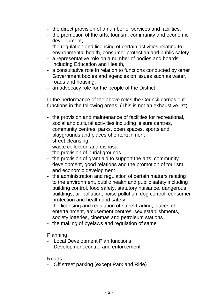- the direct provision of a number of services and facilities,
- the promotion of the arts, tourism, community and economic development,
- the regulation and licensing of certain activities relating to environmental health, consumer protection and public safety,
- a representative role on a number of bodies and boards including Education and Health,
- a consultative role in relation to functions conducted by other Government bodies and agencies on issues such as water, roads and housing;
- an advocacy role for the people of the District

In the performance of the above roles the Council carries out functions in the following areas: (This is not an exhaustive list)

- the provision and maintenance of facilities for recreational, social and cultural activities including leisure centres, community centres, parks, open spaces, sports and playgrounds and places of entertainment
- street cleansing
- waste collection and disposal
- the provision of burial grounds
- the provision of grant aid to support the arts, community development, good relations and the promotion of tourism and economic development
- the administration and regulation of certain matters relating to the environment, public health and public safety including building control, food safety, statutory nuisance, dangerous buildings, air pollution, noise pollution, dog control, consumer protection and health and safety
- the licensing and regulation of street trading, places of entertainment, amusement centres, sex establishments, society lotteries, cinemas and petroleum stations
- the making of byelaws and regulation of same

Planning

- Local Development Plan functions
- Development control and enforcement

### Roads

- Off street parking (except Park and Ride)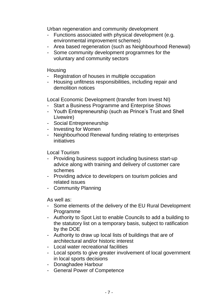Urban regeneration and community development

- Functions associated with physical development (e.g. environmental improvement schemes)
- Area based regeneration (such as Neighbourhood Renewal)
- Some community development programmes for the voluntary and community sectors

### **Housing**

- Registration of houses in multiple occupation
- Housing unfitness responsibilities, including repair and demolition notices

Local Economic Development (transfer from Invest NI)

- Start a Business Programme and Enterprise Shows
- Youth Entrepreneurship (such as Prince's Trust and Shell Livewire)
- Social Entrepreneurship
- Investing for Women
- Neighbourhood Renewal funding relating to enterprises initiatives

Local Tourism

- Providing business support including business start-up advice along with training and delivery of customer care schemes
- Providing advice to developers on tourism policies and related issues
- Community Planning

As well as:

- Some elements of the delivery of the EU Rural Development Programme
- Authority to Spot List to enable Councils to add a building to the statutory list on a temporary basis, subject to ratification by the DOE
- Authority to draw up local lists of buildings that are of architectural and/or historic interest
- Local water recreational facilities
- Local sports to give greater involvement of local government in local sports decisions
- Donaghadee Harbour
- General Power of Competence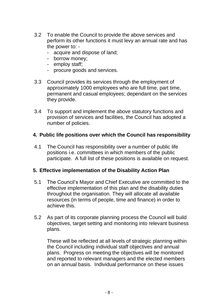- 3.2 To enable the Council to provide the above services and perform its other functions it must levy an annual rate and has the power to: -
	- acquire and dispose of land;
	- borrow money;
	- employ staff;
	- procure goods and services.
- 3.3 Council provides its services through the employment of approximately 1000 employees who are full time, part time, permanent and casual employees; dependant on the services they provide.
- 3.4 To support and implement the above statutory functions and provision of services and facilities, the Council has adopted a number of policies.

### <span id="page-7-0"></span>**4. Public life positions over which the Council has responsibility**

4.1 The Council has responsibility over a number of public life positions i.e. committees in which members of the public participate. A full list of these positions is available on request.

### <span id="page-7-1"></span>**5. Effective implementation of the Disability Action Plan**

- 5.1 The Council's Mayor and Chief Executive are committed to the effective implementation of this plan and the disability duties throughout the organisation. They will allocate all available resources (in terms of people, time and finance) in order to achieve this.
- 5.2 As part of its corporate planning process the Council will build objectives, target setting and monitoring into relevant business plans.

 These will be reflected at all levels of strategic planning within the Council including individual staff objectives and annual plans. Progress on meeting the objectives will be monitored and reported to relevant managers and the elected members on an annual basis. Individual performance on these issues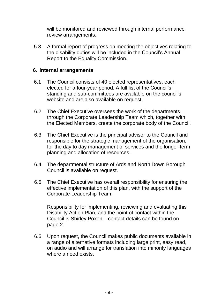will be monitored and reviewed through internal performance review arrangements.

5.3 A formal report of progress on meeting the objectives relating to the disability duties will be included in the Council's Annual Report to the Equality Commission.

### <span id="page-8-0"></span>**6. Internal arrangements**

- 6.1 The Council consists of 40 elected representatives, each elected for a four-year period. A full list of the Council's standing and sub-committees are available on the council's website and are also available on request.
- 6.2 The Chief Executive oversees the work of the departments through the Corporate Leadership Team which, together with the Elected Members, create the corporate body of the Council.
- 6.3 The Chief Executive is the principal advisor to the Council and responsible for the strategic management of the organisation, for the day to day management of services and the longer-term planning and allocation of resources.
- 6.4 The departmental structure of Ards and North Down Borough Council is available on request.
- 6.5 The Chief Executive has overall responsibility for ensuring the effective implementation of this plan, with the support of the Corporate Leadership Team.

Responsibility for implementing, reviewing and evaluating this Disability Action Plan, and the point of contact within the Council is Shirley Poxon – contact details can be found on page 2.

6.6 Upon request, the Council makes public documents available in a range of alternative formats including large print, easy read, on audio and will arrange for translation into minority languages where a need exists.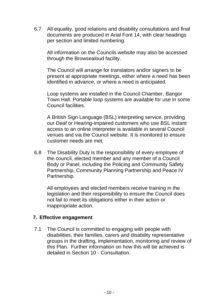6.7 All equality, good relations and disability consultations and final documents are produced in Arial Font 14, with clear headings per section and limited numbering.

All information on the Councils website may also be accessed through the Browsealoud facility.

The Council will arrange for translators and/or signers to be present at appropriate meetings, either where a need has been identified in advance, or where a need is anticipated.

Loop systems are installed in the Council Chamber, Bangor Town Hall. Portable loop systems are available for use in some Council facilities.

A British Sign Language (BSL) interpreting service, providing our Deaf or Hearing-impaired customers who use BSL instant access to an online interpreter is available in several Council venues and via the Council website. It is monitored to ensure customer needs are met.

6.8 The Disability Duty is the responsibility of every employee of the council, elected member and any member of a Council Body or Panel, including the Policing and Community Safety Partnership, Community Planning Partnership and Peace IV Partnership.

All employees and elected members receive training in the legislation and their responsibility to ensure the Council does not fail to meet its obligations either in their action or inappropriate action.

### <span id="page-9-0"></span>**7. Effective engagement**

7.1 The Council is committed to engaging with people with disabilities, their families, carers and disability representative groups in the drafting, implementation, monitoring and review of this Plan. Further information on how this will be achieved is detailed in Section 10 - Consultation.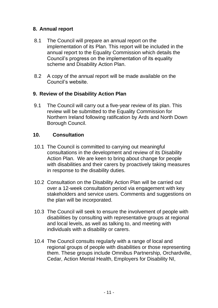### **8. Annual report**

- 8.1 The Council will prepare an annual report on the implementation of its Plan. This report will be included in the annual report to the Equality Commission which details the Council's progress on the implementation of its equality scheme and Disability Action Plan.
- 8.2 A copy of the annual report will be made available on the Council's website.

### <span id="page-10-0"></span>**9. Review of the Disability Action Plan**

9.1 The Council will carry out a five-year review of its plan. This review will be submitted to the Equality Commission for Northern Ireland following ratification by Ards and North Down Borough Council.

### <span id="page-10-1"></span>**10. Consultation**

- 10.1 The Council is committed to carrying out meaningful consultations in the development and review of its Disability Action Plan. We are keen to bring about change for people with disabilities and their carers by proactively taking measures in response to the disability duties.
- 10.2 Consultation on the Disability Action Plan will be carried out over a 12-week consultation period via engagement with key stakeholders and service users. Comments and suggestions on the plan will be incorporated.
- 10.3 The Council will seek to ensure the involvement of people with disabilities by consulting with representative groups at regional and local levels, as well as talking to, and meeting with individuals with a disability or carers.
- 10.4 The Council consults regularly with a range of local and regional groups of people with disabilities or those representing them. These groups include Omnibus Partnership, Orchardville, Cedar, Action Mental Health, Employers for Disability NI,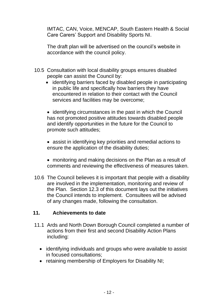IMTAC, CAN, Voice, MENCAP, South Eastern Health & Social Care Carers' Support and Disability Sports NI.

The draft plan will be advertised on the council's website in accordance with the council policy.

- 10.5 Consultation with local disability groups ensures disabled people can assist the Council by:
	- identifying barriers faced by disabled people in participating in public life and specifically how barriers they have encountered in relation to their contact with the Council services and facilities may be overcome;
	- identifying circumstances in the past in which the Council has not promoted positive attitudes towards disabled people and identify opportunities in the future for the Council to promote such attitudes;
	- assist in identifying key priorities and remedial actions to ensure the application of the disability duties;
	- monitoring and making decisions on the Plan as a result of comments and reviewing the effectiveness of measures taken.
- 10.6 The Council believes it is important that people with a disability are involved in the implementation, monitoring and review of the Plan. Section 12.3 of this document lays out the initiatives the Council intends to implement. Consultees will be advised of any changes made, following the consultation.

### <span id="page-11-0"></span>**11. Achievements to date**

- 11.1 Ards and North Down Borough Council completed a number of actions from their first and second Disability Action Plans including:
	- identifying individuals and groups who were available to assist in focused consultations;
	- retaining membership of Employers for Disability NI;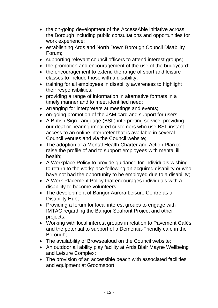- the on-going development of the AccessAble initiative across the Borough including public consultations and opportunities for work experience;
- establishing Ards and North Down Borough Council Disability Forum;
- supporting relevant council officers to attend interest groups;
- the promotion and encouragement of the use of the buddycard;
- the encouragement to extend the range of sport and leisure classes to include those with a disability;
- training for all employees in disability awareness to highlight their responsibilities;
- providing a range of information in alternative formats in a timely manner and to meet identified need;
- arranging for interpreters at meetings and events;
- on-going promotion of the JAM card and support for users;
- A British Sign Language (BSL) interpreting service, providing our deaf or hearing-impaired customers who use BSL instant access to an online interpreter that is available in several Council venues and via the Council website;
- The adoption of a Mental Health Charter and Action Plan to raise the profile of and to support employees with mental ill health;
- A Workplace Policy to provide guidance for individuals wishing to return to the workplace following an acquired disability or who have not had the opportunity to be employed due to a disability;
- A Work Placement Policy that encourages individuals with a disability to become volunteers;
- The development of Bangor Aurora Leisure Centre as a Disability Hub;
- Providing a forum for local interest groups to engage with IMTAC regarding the Bangor Seafront Project and other projects;
- Working with local interest groups in relation to Pavement Cafés and the potential to support of a Dementia-Friendly café in the Borough;
- The availability of Browsealoud on the Council website;
- An outdoor all ability play facility at Ards Blair Mayne Wellbeing and Leisure Complex;
- The provision of an accessible beach with associated facilities and equipment at Groomsport;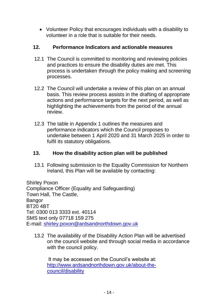• Volunteer Policy that encourages individuals with a disability to volunteer in a role that is suitable for their needs.

### <span id="page-13-0"></span>**12. Performance Indicators and actionable measures**

- 12.1 The Council is committed to monitoring and reviewing policies and practices to ensure the disability duties are met. This process is undertaken through the policy making and screening processes.
- 12.2 The Council will undertake a review of this plan on an annual basis. This review process assists in the drafting of appropriate actions and performance targets for the next period, as well as highlighting the achievements from the period of the annual review.
- 12.3 The table in Appendix 1 outlines the measures and performance indicators which the Council proposes to undertake between 1 April 2020 and 31 March 2025 in order to fulfil its statutory obligations.

### <span id="page-13-1"></span>**13. How the disability action plan will be published**

13.1 Following submission to the Equality Commission for Northern Ireland, this Plan will be available by contacting:

Shirley Poxon Compliance Officer (Equality and Safeguarding) Town Hall, The Castle, **Bangor** BT20 4BT Tel: 0300 013 3333 ext. 40114 SMS text only 07718 159 275 E-mail: [shirley.poxon@ardsandnorthdown.gov.uk](mailto:shirley.poxon@ardsandnorthdown.gov.uk)

13.2 The availability of the Disability Action Plan will be advertised on the council website and through social media in accordance with the council policy.

It may be accessed on the Council's website at: [http://www.ardsandnorthdown.gov.uk/about-the](http://www.ardsandnorthdown.gov.uk/about-the-council/disability)[council/disability](http://www.ardsandnorthdown.gov.uk/about-the-council/disability)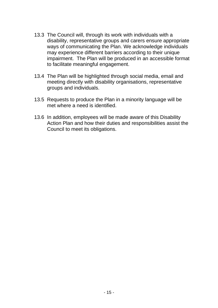- 13.3 The Council will, through its work with individuals with a disability, representative groups and carers ensure appropriate ways of communicating the Plan. We acknowledge individuals may experience different barriers according to their unique impairment. The Plan will be produced in an accessible format to facilitate meaningful engagement.
- 13.4 The Plan will be highlighted through social media, email and meeting directly with disability organisations, representative groups and individuals.
- 13.5 Requests to produce the Plan in a minority language will be met where a need is identified.
- 13.6 In addition, employees will be made aware of this Disability Action Plan and how their duties and responsibilities assist the Council to meet its obligations.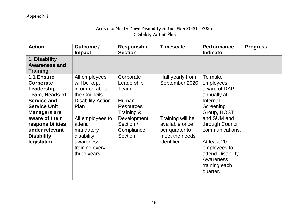### Ards and North Down Disability Action Plan 2020 - 2025 Disability Action Plan

| <b>Action</b>                                                                                                                                                                                                            | Outcome /<br><b>Impact</b>                                                                                                                                                                                  | <b>Responsible</b><br><b>Section</b>                                                                                            | <b>Timescale</b>                                                                                                            | <b>Performance</b><br><b>Indicator</b>                                                                                                                                                                                                         | <b>Progress</b> |
|--------------------------------------------------------------------------------------------------------------------------------------------------------------------------------------------------------------------------|-------------------------------------------------------------------------------------------------------------------------------------------------------------------------------------------------------------|---------------------------------------------------------------------------------------------------------------------------------|-----------------------------------------------------------------------------------------------------------------------------|------------------------------------------------------------------------------------------------------------------------------------------------------------------------------------------------------------------------------------------------|-----------------|
| 1. Disability<br><b>Awareness and</b><br><b>Training</b>                                                                                                                                                                 |                                                                                                                                                                                                             |                                                                                                                                 |                                                                                                                             |                                                                                                                                                                                                                                                |                 |
| 1.1 Ensure<br>Corporate<br>Leadership<br>Team, Heads of<br><b>Service and</b><br><b>Service Unit</b><br><b>Managers are</b><br>aware of their<br>responsibilities<br>under relevant<br><b>Disability</b><br>legislation. | All employees<br>will be kept<br>informed about<br>the Councils<br><b>Disability Action</b><br>Plan<br>All employees to<br>attend<br>mandatory<br>disability<br>awareness<br>training every<br>three years. | Corporate<br>Leadership<br>Team<br>Human<br><b>Resources</b><br>Training &<br>Development<br>Section /<br>Compliance<br>Section | Half yearly from<br>September 2020<br>Training will be<br>available once<br>per quarter to<br>meet the needs<br>identified. | To make<br>employees<br>aware of DAP<br>annually at<br>Internal<br>Screening<br>Group, HOST<br>and SUM and<br>through Council<br>communications.<br>At least 20<br>employees to<br>attend Disability<br>Awareness<br>training each<br>quarter. |                 |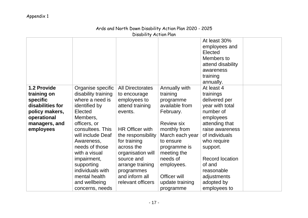### Ards and North Down Disability Action Plan 2020 - 2025 Disability Action Plan

|                              |                                        |                                 |                             | At least 30%<br>employees and<br>Elected<br>Members to<br>attend disability<br>awareness<br>training<br>annually. |
|------------------------------|----------------------------------------|---------------------------------|-----------------------------|-------------------------------------------------------------------------------------------------------------------|
| 1.2 Provide                  | Organise specific                      | <b>All Directorates</b>         | Annually with               | At least 4                                                                                                        |
| training on                  | disability training<br>where a need is | to encourage                    | training                    | trainings                                                                                                         |
| specific<br>disabilities for | identified by                          | employees to<br>attend training | programme<br>available from | delivered per<br>year with total                                                                                  |
| policy makers,               | Elected                                | events.                         | February.                   | number of                                                                                                         |
| operational                  | Members,                               |                                 |                             | employees                                                                                                         |
| managers, and                | officers, or                           |                                 | <b>Review six</b>           | attending that                                                                                                    |
| employees                    | consultees. This                       | <b>HR Officer with</b>          | monthly from                | raise awareness                                                                                                   |
|                              | will include Deaf                      | the responsibility              | March each year             | of individuals                                                                                                    |
|                              | Awareness,                             | for training                    | to ensure                   | who require                                                                                                       |
|                              | needs of those                         | across the                      | programme is                | support.                                                                                                          |
|                              | with a visual                          | organisation will               | meeting the                 |                                                                                                                   |
|                              | impairment,                            | source and                      | needs of                    | <b>Record location</b>                                                                                            |
|                              | supporting                             | arrange training                | employees.                  | of and                                                                                                            |
|                              | individuals with                       | programmes                      |                             | reasonable                                                                                                        |
|                              | mental health                          | and inform all                  | Officer will                | adjustments                                                                                                       |
|                              | and wellbeing                          | relevant officers               | update training             | adopted by                                                                                                        |
|                              | concerns, needs                        |                                 | programme                   | employees to                                                                                                      |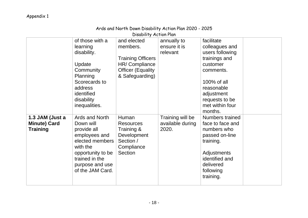### Ards and North Down Disability Action Plan 2020 - 2025

Disability Action Plan of those with a learning disability. Update **Community** Planning Scorecards to address identified disability inequalities. and elected members. Training Officers HR/ Compliance Officer (Equality & Safeguarding) annually to ensure it is relevant facilitate colleagues and users following trainings and customer comments. 100% of all reasonable adjustment requests to be met within four months. **1.3 JAM (Just a Minute) Card Training** Ards and North Down will provide all employees and elected members with the opportunity to be trained in the purpose and use of the JAM Card. Human Resources Training & **Development** Section / **Compliance** Section Training will be available during 2020. Numbers trained face to face and numbers who passed on-line training. **Adjustments** identified and delivered following training.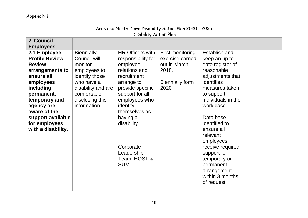|                         |                     | UISUUIITTY MUTTUITTIUIT |                        |                    |  |
|-------------------------|---------------------|-------------------------|------------------------|--------------------|--|
| 2. Council              |                     |                         |                        |                    |  |
| <b>Employees</b>        |                     |                         |                        |                    |  |
| 2.1 Employee            | <b>Biennially -</b> | <b>HR Officers with</b> | First monitoring       | Establish and      |  |
| <b>Profile Review -</b> | Council will        | responsibility for      | exercise carried       | keep an up to      |  |
| <b>Review</b>           | monitor             | employee                | out in March           | date register of   |  |
| arrangements to         | employees to        | relations and           | 2018.                  | reasonable         |  |
| ensure all              | identify those      | recruitment             |                        | adjustments that   |  |
| employees               | who have a          | arrange to              | <b>Biennially form</b> | identifies         |  |
| including               | disability and are  | provide specific        | 2020                   | measures taken     |  |
| permanent,              | comfortable         | support for all         |                        | to support         |  |
| temporary and           | disclosing this     | employees who           |                        | individuals in the |  |
| agency are              | information.        | identify                |                        | workplace.         |  |
| aware of the            |                     | themselves as           |                        |                    |  |
| support available       |                     | having a                |                        | Data base          |  |
| for employees           |                     | disability.             |                        | identified to      |  |
| with a disability.      |                     |                         |                        | ensure all         |  |
|                         |                     |                         |                        | relevant           |  |
|                         |                     |                         |                        | employees          |  |
|                         |                     | Corporate               |                        | receive required   |  |
|                         |                     | Leadership              |                        | support for        |  |
|                         |                     | Team, HOST &            |                        | temporary or       |  |
|                         |                     | <b>SUM</b>              |                        | permanent          |  |
|                         |                     |                         |                        | arrangement        |  |
|                         |                     |                         |                        | within 3 months    |  |
|                         |                     |                         |                        | of request.        |  |
|                         |                     |                         |                        |                    |  |

#### Ards and North Down Disability Action Plan 2020 - 2025 Disability Action Plan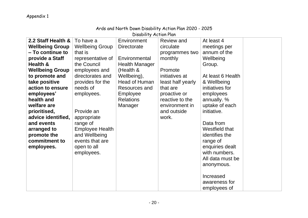| Ards and North Down Disability Action Flan 2020 - 2020 |                        |                       |                   |                   |  |  |  |  |
|--------------------------------------------------------|------------------------|-----------------------|-------------------|-------------------|--|--|--|--|
| Disability Action Plan                                 |                        |                       |                   |                   |  |  |  |  |
| 2.2 Staff Health &                                     | To have a              | Environment           | <b>Review and</b> | At least 4        |  |  |  |  |
| <b>Wellbeing Group</b>                                 | <b>Wellbeing Group</b> | Directorate           | circulate         | meetings per      |  |  |  |  |
| – To continue to                                       | that is                |                       | programmes two    | annum of the      |  |  |  |  |
| provide a Staff                                        | representative of      | Environmental         | monthly           | Wellbeing         |  |  |  |  |
| Health &                                               | the Council            | <b>Health Manager</b> |                   | Group.            |  |  |  |  |
| <b>Wellbeing Group</b>                                 | employees and          | (Health &             | Promote           |                   |  |  |  |  |
| to promote and                                         | directorates and       | Wellbeing),           | initiatives at    | At least 6 Health |  |  |  |  |
| take positive                                          | provides for the       | <b>Head of Human</b>  | least half yearly | & Wellbeing       |  |  |  |  |
| action to ensure                                       | needs of               | Resources and         | that are          | initiatives for   |  |  |  |  |
| employees'                                             | employees.             | <b>Employee</b>       | proactive or      | employees         |  |  |  |  |
| health and                                             |                        | <b>Relations</b>      | reactive to the   | annually. %       |  |  |  |  |
| welfare are                                            |                        | Manager               | environment in    | uptake of each    |  |  |  |  |
| prioritised,                                           | Provide an             |                       | and outside       | initiative.       |  |  |  |  |
| advice identified,                                     | appropriate            |                       | work.             |                   |  |  |  |  |
| and events                                             | range of               |                       |                   | Data from         |  |  |  |  |
| arranged to                                            | <b>Employee Health</b> |                       |                   | Westfield that    |  |  |  |  |
| promote the                                            | and Wellbeing          |                       |                   | identifies the    |  |  |  |  |
| commitment to                                          | events that are        |                       |                   | range of          |  |  |  |  |
| employees.                                             | open to all            |                       |                   | enquiries dealt   |  |  |  |  |
|                                                        | employees.             |                       |                   | with numbers.     |  |  |  |  |
|                                                        |                        |                       |                   | All data must be  |  |  |  |  |
|                                                        |                        |                       |                   | anonymous.        |  |  |  |  |
|                                                        |                        |                       |                   |                   |  |  |  |  |
|                                                        |                        |                       |                   | Increased         |  |  |  |  |
|                                                        |                        |                       |                   | awareness for     |  |  |  |  |
|                                                        |                        |                       |                   | employees of      |  |  |  |  |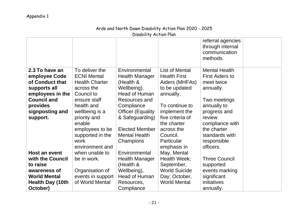| Disability Action Plan                                                                                                                                  |                                                                                                                                                                                                                                       |                                                                                                                                                                                                                                         |                                                                                                                                                                                                                           |                                                                                                                                                                                                                    |  |  |
|---------------------------------------------------------------------------------------------------------------------------------------------------------|---------------------------------------------------------------------------------------------------------------------------------------------------------------------------------------------------------------------------------------|-----------------------------------------------------------------------------------------------------------------------------------------------------------------------------------------------------------------------------------------|---------------------------------------------------------------------------------------------------------------------------------------------------------------------------------------------------------------------------|--------------------------------------------------------------------------------------------------------------------------------------------------------------------------------------------------------------------|--|--|
|                                                                                                                                                         |                                                                                                                                                                                                                                       |                                                                                                                                                                                                                                         |                                                                                                                                                                                                                           | referral agencies<br>through internal<br>communication<br>methods.                                                                                                                                                 |  |  |
| 2.3 To have an<br>employee Code<br>of Conduct that<br>supports all<br>employees in the<br><b>Council and</b><br>provides<br>signposting and<br>support. | To deliver the<br><b>ECNI Mental</b><br><b>Health Charter</b><br>across the<br>Council to<br>ensure staff<br>health and<br>wellbeing is a<br>priority and<br>enable<br>employees to be<br>supported in the<br>work<br>environment and | Environmental<br><b>Health Manager</b><br>(Health &<br>Wellbeing),<br><b>Head of Human</b><br>Resources and<br>Compliance<br><b>Officer (Equality)</b><br>& Safeguarding)<br><b>Elected Member</b><br><b>Mental Health</b><br>Champions | List of Mental<br><b>Health First</b><br>Aiders (MHFAs)<br>to be updated<br>annually.<br>To continue to<br>implement the<br>five criteria of<br>the charter<br>across the<br>Council.<br><b>Particular</b><br>emphasis in | <b>Mental Health</b><br><b>First Aiders to</b><br>meet twice<br>annually.<br>Two meetings<br>annually to<br>progress and<br>review<br>compliance with<br>the charter<br>standards with<br>responsible<br>officers. |  |  |
| <b>Host an event</b><br>with the Council                                                                                                                | when unable to<br>be in work.                                                                                                                                                                                                         | Environmental<br><b>Health Manager</b>                                                                                                                                                                                                  | May, Mental<br>Health Week;                                                                                                                                                                                               | <b>Three Council</b>                                                                                                                                                                                               |  |  |
| to raise<br>awareness of<br><b>World Mental</b>                                                                                                         | Organisation of<br>events in support                                                                                                                                                                                                  | (Health &<br>Wellbeing),<br>Head of Human                                                                                                                                                                                               | September,<br><b>World Suicide</b><br>Day; October,                                                                                                                                                                       | supported<br>events marking<br>significant                                                                                                                                                                         |  |  |
| Health Day (10th<br>October)                                                                                                                            | of World Mental                                                                                                                                                                                                                       | Resources,<br>Compliance                                                                                                                                                                                                                | <b>World Mental</b>                                                                                                                                                                                                       | initiatives<br>annually.                                                                                                                                                                                           |  |  |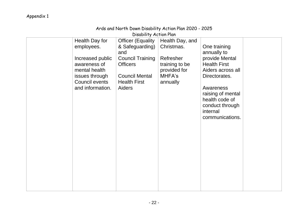Disability Action Plan

| Health Day for<br>employees.<br>Increased public<br>awareness of<br>mental health<br>issues through<br><b>Council events</b><br>and information. | <b>Officer (Equality</b><br>& Safeguarding)<br>and<br><b>Council Training</b><br><b>Officers</b><br><b>Council Mental</b><br><b>Health First</b><br><b>Aiders</b> | Health Day, and<br>Christmas.<br>Refresher<br>training to be<br>provided for<br>MHFA's<br>annually | One training<br>annually to<br>provide Mental<br><b>Health First</b><br>Aiders across all<br>Directorates.<br>Awareness<br>raising of mental<br>health code of<br>conduct through<br>internal<br>communications. |  |
|--------------------------------------------------------------------------------------------------------------------------------------------------|-------------------------------------------------------------------------------------------------------------------------------------------------------------------|----------------------------------------------------------------------------------------------------|------------------------------------------------------------------------------------------------------------------------------------------------------------------------------------------------------------------|--|
|                                                                                                                                                  |                                                                                                                                                                   |                                                                                                    |                                                                                                                                                                                                                  |  |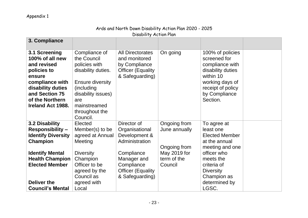|                                                                                                                                                                               |                                                                                                                                                                                          | UISUUIITTY MUTTUITTIUIT                                                                                                                                    |                                                                                         |                                                                                                                                                                     |  |
|-------------------------------------------------------------------------------------------------------------------------------------------------------------------------------|------------------------------------------------------------------------------------------------------------------------------------------------------------------------------------------|------------------------------------------------------------------------------------------------------------------------------------------------------------|-----------------------------------------------------------------------------------------|---------------------------------------------------------------------------------------------------------------------------------------------------------------------|--|
| 3. Compliance                                                                                                                                                                 |                                                                                                                                                                                          |                                                                                                                                                            |                                                                                         |                                                                                                                                                                     |  |
| 3.1 Screening<br>100% of all new<br>and revised<br>policies to<br>ensure<br>compliance with<br>disability duties<br>and Section 75<br>of the Northern<br>Ireland Act 1988.    | Compliance of<br>the Council<br>policies with<br>disability duties.<br><b>Ensure diversity</b><br>(including)<br>disability issues)<br>are<br>mainstreamed<br>throughout the<br>Council. | <b>All Directorates</b><br>and monitored<br>by Compliance<br><b>Officer (Equality</b><br>& Safeguarding)                                                   | On going                                                                                | 100% of policies<br>screened for<br>compliance with<br>disability duties<br>within 10<br>working days of<br>receipt of policy<br>by Compliance<br>Section.          |  |
| <b>3.2 Disability</b><br><b>Responsibility -</b><br><b>Identify Diversity</b><br><b>Champion</b><br><b>Identify Mental</b><br><b>Health Champion</b><br><b>Elected Member</b> | Elected<br>Member(s) to be<br>agreed at Annual<br>Meeting<br><b>Diversity</b><br>Champion<br>Officer to be<br>agreed by the<br>Council as                                                | Director of<br>Organisational<br>Development &<br>Administration<br>Compliance<br>Manager and<br>Compliance<br><b>Officer (Equality</b><br>& Safeguarding) | Ongoing from<br>June annually<br>Ongoing from<br>May 2019 for<br>term of the<br>Council | To agree at<br>least one<br><b>Elected Member</b><br>at the annual<br>meeting and one<br>officer who<br>meets the<br>criteria of<br><b>Diversity</b><br>Champion as |  |
| <b>Deliver the</b><br><b>Council's Mental</b>                                                                                                                                 | agreed with<br>Local                                                                                                                                                                     |                                                                                                                                                            |                                                                                         | determined by<br>LGSC.                                                                                                                                              |  |

# Ards and North Down Disability Action Plan 2020 - 2025

Disability Action Plan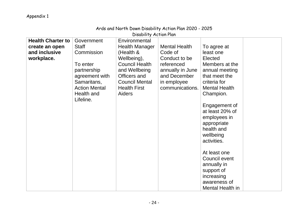|                                                                           | Disability Action Plan                                                                                                                                  |                                                                                                                                                                                               |                                                                                                                                      |                                                                                                                                                                                                                                                                                                                                                                                   |  |  |
|---------------------------------------------------------------------------|---------------------------------------------------------------------------------------------------------------------------------------------------------|-----------------------------------------------------------------------------------------------------------------------------------------------------------------------------------------------|--------------------------------------------------------------------------------------------------------------------------------------|-----------------------------------------------------------------------------------------------------------------------------------------------------------------------------------------------------------------------------------------------------------------------------------------------------------------------------------------------------------------------------------|--|--|
| <b>Health Charter to</b><br>create an open<br>and inclusive<br>workplace. | Government<br><b>Staff</b><br>Commission<br>To enter<br>partnership<br>agreement with<br>Samaritans,<br><b>Action Mental</b><br>Health and<br>Lifeline. | Environmental<br><b>Health Manager</b><br>(Health &<br>Wellbeing),<br><b>Council Health</b><br>and Wellbeing<br>Officers and<br><b>Council Mental</b><br><b>Health First</b><br><b>Aiders</b> | <b>Mental Health</b><br>Code of<br>Conduct to be<br>referenced<br>annually in June<br>and December<br>in employee<br>communications. | To agree at<br>least one<br>Elected<br>Members at the<br>annual meeting<br>that meet the<br>criteria for<br><b>Mental Health</b><br>Champion.<br>Engagement of<br>at least 20% of<br>employees in<br>appropriate<br>health and<br>wellbeing<br>activities.<br>At least one<br>Council event<br>annually in<br>support of<br>increasing<br>awareness of<br><b>Mental Health in</b> |  |  |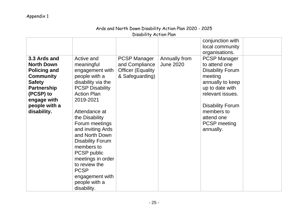| Disability Action Plan                                                                                                                                                          |                                                                                                                                                                                                                                                                                                                                                                                                             |                                                                                      |                                   |                                                                                                                                                                                                                                  |  |  |
|---------------------------------------------------------------------------------------------------------------------------------------------------------------------------------|-------------------------------------------------------------------------------------------------------------------------------------------------------------------------------------------------------------------------------------------------------------------------------------------------------------------------------------------------------------------------------------------------------------|--------------------------------------------------------------------------------------|-----------------------------------|----------------------------------------------------------------------------------------------------------------------------------------------------------------------------------------------------------------------------------|--|--|
|                                                                                                                                                                                 |                                                                                                                                                                                                                                                                                                                                                                                                             |                                                                                      |                                   | conjunction with<br>local community<br>organisations.                                                                                                                                                                            |  |  |
| 3.3 Ards and<br><b>North Down</b><br><b>Policing and</b><br><b>Community</b><br><b>Safety</b><br><b>Partnership</b><br>(PCSP) to<br>engage with<br>people with a<br>disability. | Active and<br>meaningful<br>engagement with<br>people with a<br>disability via the<br><b>PCSP Disability</b><br><b>Action Plan</b><br>2019-2021<br>Attendance at<br>the Disability<br>Forum meetings<br>and inviting Ards<br>and North Down<br><b>Disability Forum</b><br>members to<br>PCSP public<br>meetings in order<br>to review the<br><b>PCSP</b><br>engagement with<br>people with a<br>disability. | <b>PCSP Manager</b><br>and Compliance<br><b>Officer (Equality</b><br>& Safeguarding) | Annually from<br><b>June 2020</b> | <b>PCSP Manager</b><br>to attend one<br><b>Disability Forum</b><br>meeting<br>annually to keep<br>up to date with<br>relevant issues.<br><b>Disability Forum</b><br>members to<br>attend one<br><b>PCSP</b> meeting<br>annually. |  |  |

# Ards and North Down Disability Action Plan 2020 - 2025

Disability Action Plan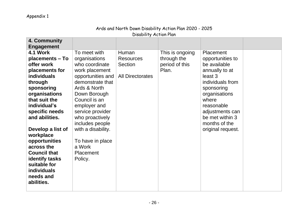|                       |                    | URUMIN'Y MUNUSIA        |                 |                   |  |
|-----------------------|--------------------|-------------------------|-----------------|-------------------|--|
| 4. Community          |                    |                         |                 |                   |  |
| <b>Engagement</b>     |                    |                         |                 |                   |  |
| 4.1 Work              | To meet with       | Human                   | This is ongoing | Placement         |  |
| placements - To       | organisations      | <b>Resources</b>        | through the     | opportunities to  |  |
| offer work            | who coordinate     | Section                 | period of this  | be available      |  |
| placements for        | work placement     |                         | Plan.           | annually to at    |  |
| <b>individuals</b>    | opportunities and  | <b>All Directorates</b> |                 | least 3           |  |
| through               | demonstrate that   |                         |                 | individuals from  |  |
| sponsoring            | Ards & North       |                         |                 | sponsoring        |  |
| organisations         | Down Borough       |                         |                 | organisations     |  |
| that suit the         | Council is an      |                         |                 | where             |  |
| individual's          | employer and       |                         |                 | reasonable        |  |
| specific needs        | service provider   |                         |                 | adjustments can   |  |
| and abilities.        | who proactively    |                         |                 | be met within 3   |  |
|                       | includes people    |                         |                 | months of the     |  |
| Develop a list of     | with a disability. |                         |                 | original request. |  |
| workplace             |                    |                         |                 |                   |  |
| opportunities         | To have in place   |                         |                 |                   |  |
| across the            | a Work             |                         |                 |                   |  |
| <b>Council that</b>   | Placement          |                         |                 |                   |  |
| <b>identify tasks</b> | Policy.            |                         |                 |                   |  |
| suitable for          |                    |                         |                 |                   |  |
| <b>individuals</b>    |                    |                         |                 |                   |  |
| needs and             |                    |                         |                 |                   |  |
| abilities.            |                    |                         |                 |                   |  |
|                       |                    |                         |                 |                   |  |

### Ards and North Down Disability Action Plan 2020 - 2025 Disability Action Plan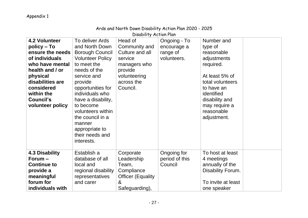|                                                                                                                                                                                                              |                                                                                                                                                                                                                                                                                                                                  | Disability Action Plan                                                                                                      |                                                        |                                                                                                                                                                                                   |  |
|--------------------------------------------------------------------------------------------------------------------------------------------------------------------------------------------------------------|----------------------------------------------------------------------------------------------------------------------------------------------------------------------------------------------------------------------------------------------------------------------------------------------------------------------------------|-----------------------------------------------------------------------------------------------------------------------------|--------------------------------------------------------|---------------------------------------------------------------------------------------------------------------------------------------------------------------------------------------------------|--|
| 4.2 Volunteer<br>policy – To<br>ensure the needs<br>of individuals<br>who have mental<br>health and / or<br>physical<br>disabilities are<br>considered<br>within the<br><b>Council's</b><br>volunteer policy | To deliver Ards<br>and North Down<br><b>Borough Council</b><br><b>Volunteer Policy</b><br>to meet the<br>needs of the<br>service and<br>provide<br>opportunities for<br>individuals who<br>have a disability,<br>to become<br>volunteers within<br>the council in a<br>manner<br>appropriate to<br>their needs and<br>interests. | Head of<br>Community and<br>Culture and all<br>service<br>managers who<br>provide<br>volunteering<br>across the<br>Council. | Ongoing - To<br>encourage a<br>range of<br>volunteers. | Number and<br>type of<br>reasonable<br>adjustments<br>required.<br>At least 5% of<br>total volunteers<br>to have an<br>identified<br>disability and<br>may require a<br>reasonable<br>adjustment. |  |
| <b>4.3 Disability</b><br>Forum-<br><b>Continue to</b><br>provide a<br>meaningful<br>forum for<br>individuals with                                                                                            | Establish a<br>database of all<br>local and<br>regional disability<br>representatives<br>and carer                                                                                                                                                                                                                               | Corporate<br>Leadership<br>Team,<br>Compliance<br><b>Officer (Equality</b><br>&<br>Safeguarding),                           | Ongoing for<br>period of this<br>Council               | To host at least<br>4 meetings<br>annually of the<br>Disability Forum.<br>To invite at least<br>one speaker                                                                                       |  |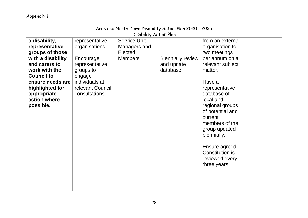| Disability Action Plan                                                                                                         |                                                                                        |                                                                  |                                                     |                                                                                                                                                                                                                                |  |  |  |
|--------------------------------------------------------------------------------------------------------------------------------|----------------------------------------------------------------------------------------|------------------------------------------------------------------|-----------------------------------------------------|--------------------------------------------------------------------------------------------------------------------------------------------------------------------------------------------------------------------------------|--|--|--|
| a disability,<br>representative<br>groups of those<br>with a disability<br>and carers to<br>work with the<br><b>Council to</b> | representative<br>organisations.<br>Encourage<br>representative<br>groups to<br>engage | <b>Service Unit</b><br>Managers and<br>Elected<br><b>Members</b> | <b>Biennially review</b><br>and update<br>database. | from an external<br>organisation to<br>two meetings<br>per annum on a<br>relevant subject<br>matter.                                                                                                                           |  |  |  |
| ensure needs are<br>highlighted for<br>appropriate<br>action where<br>possible.                                                | individuals at<br>relevant Council<br>consultations.                                   |                                                                  |                                                     | Have a<br>representative<br>database of<br>local and<br>regional groups<br>of potential and<br>current<br>members of the<br>group updated<br>biennially.<br>Ensure agreed<br>Constitution is<br>reviewed every<br>three years. |  |  |  |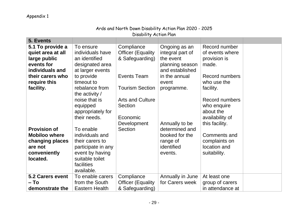**5. Events**

| Ards and North Down Disability Action Plan 2020 - 2025 |  |  |  |  |  |  |  |
|--------------------------------------------------------|--|--|--|--|--|--|--|
| Disability Action Plan                                 |  |  |  |  |  |  |  |
|                                                        |  |  |  |  |  |  |  |

| 5. Events                                                                                                                                                      |                                                                                                                                                                                                                                      |                                                                                                                                                                                       |                                                                                                                                                                  |                                                                                                                                                                                                   |  |
|----------------------------------------------------------------------------------------------------------------------------------------------------------------|--------------------------------------------------------------------------------------------------------------------------------------------------------------------------------------------------------------------------------------|---------------------------------------------------------------------------------------------------------------------------------------------------------------------------------------|------------------------------------------------------------------------------------------------------------------------------------------------------------------|---------------------------------------------------------------------------------------------------------------------------------------------------------------------------------------------------|--|
| 5.1 To provide a<br>quiet area at all<br>large public<br>events for<br>individuals and<br>their carers who<br>require this<br>facility.<br><b>Provision of</b> | To ensure<br>individuals have<br>an identified<br>designated area<br>at larger events<br>to provide<br>timeout to<br>rebalance from<br>the activity /<br>noise that is<br>equipped<br>appropriately for<br>their needs.<br>To enable | Compliance<br><b>Officer (Equality</b><br>& Safeguarding)<br>Events Team<br><b>Tourism Section</b><br><b>Arts and Culture</b><br>Section<br>Economic<br>Development<br><b>Section</b> | Ongoing as an<br>integral part of<br>the event<br>planning season<br>and established<br>in the annual<br>event<br>programme.<br>Annually to be<br>determined and | Record number<br>of events where<br>provision is<br>made.<br><b>Record numbers</b><br>who use the<br>facility.<br>Record numbers<br>who enquire<br>about the<br>availability of<br>this facility. |  |
| <b>Mobiloo where</b>                                                                                                                                           | individuals and                                                                                                                                                                                                                      |                                                                                                                                                                                       | booked for the                                                                                                                                                   | Comments and                                                                                                                                                                                      |  |
| changing places<br>are not                                                                                                                                     | their carers to                                                                                                                                                                                                                      |                                                                                                                                                                                       | range of<br>identified                                                                                                                                           | complaints on<br>location and                                                                                                                                                                     |  |
| conveniently                                                                                                                                                   | participate in any<br>event by having                                                                                                                                                                                                |                                                                                                                                                                                       | events.                                                                                                                                                          | suitability.                                                                                                                                                                                      |  |
| located.                                                                                                                                                       | suitable toilet<br>facilities<br>available.                                                                                                                                                                                          |                                                                                                                                                                                       |                                                                                                                                                                  |                                                                                                                                                                                                   |  |
| 5.2 Carers event                                                                                                                                               | To enable carers                                                                                                                                                                                                                     | Compliance                                                                                                                                                                            | Annually in June                                                                                                                                                 | At least one                                                                                                                                                                                      |  |
| – To                                                                                                                                                           | from the South                                                                                                                                                                                                                       | <b>Officer (Equality</b>                                                                                                                                                              | for Carers week                                                                                                                                                  | group of carers                                                                                                                                                                                   |  |
| demonstrate the                                                                                                                                                | Eastern Health                                                                                                                                                                                                                       | & Safeguarding)                                                                                                                                                                       |                                                                                                                                                                  | in attendance at                                                                                                                                                                                  |  |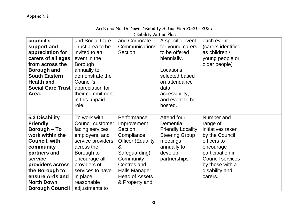**Borough Council** 

adjustments to

#### Disability Action Plan **council's support and appreciation for carers of all ages from across the Borough and South Eastern Health and Social Care Trust Area.**  and Social Care Trust area to be invited to an event in the Borough annually to demonstrate the Council's appreciation for their commitment in this unpaid role. and Corporate Communications Section A specific event for young carers to be offered biennially. Locations selected based on attendance data, accessibility, and event to be hosted. each event (carers identified as children / young people or older people) **5.3 Disability Friendly Borough – To work within the Council, with community partners and service providers across the Borough to ensure Ards and North Down**  To work with Council customer facing services, employers, and service providers across the Borough to encourage all providers of services to have in place reasonable **Performance** Improvement Section, **Compliance** Officer (Equality & Safeguarding), **Community** Centres and Halls Manager, Head of Assets & Property and Attend four Dementia Friendly Locality Steering Group meetings annually to develop partnerships Number and range of initiatives taken by the Council officers to encourage participation in Council services by those with a disability and carers.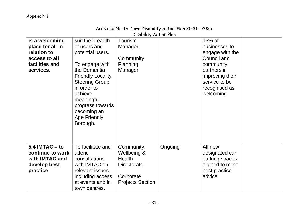| Disability Action Plan                                                                            |                                                                                                                                                                                                                                                           |                                                                                                          |         |                                                                                                                                                            |  |
|---------------------------------------------------------------------------------------------------|-----------------------------------------------------------------------------------------------------------------------------------------------------------------------------------------------------------------------------------------------------------|----------------------------------------------------------------------------------------------------------|---------|------------------------------------------------------------------------------------------------------------------------------------------------------------|--|
| is a welcoming<br>place for all in<br>relation to<br>access to all<br>facilities and<br>services. | suit the breadth<br>of users and<br>potential users.<br>To engage with<br>the Dementia<br><b>Friendly Locality</b><br><b>Steering Group</b><br>in order to<br>achieve<br>meaningful<br>progress towards<br>becoming an<br><b>Age Friendly</b><br>Borough. | Tourism<br>Manager.<br>Community<br>Planning<br>Manager                                                  |         | $15%$ of<br>businesses to<br>engage with the<br>Council and<br>community<br>partners in<br>improving their<br>service to be<br>recognised as<br>welcoming. |  |
| $5.4$ IMTAC $-$ to<br>continue to work<br>with <b>IMTAC</b> and<br>develop best<br>practice       | To facilitate and<br>attend<br>consultations<br>with IMTAC on<br>relevant issues<br>including access<br>at events and in<br>town centres.                                                                                                                 | Community,<br>Wellbeing &<br><b>Health</b><br><b>Directorate</b><br>Corporate<br><b>Projects Section</b> | Ongoing | All new<br>designated car<br>parking spaces<br>aligned to meet<br>best practice<br>advice.                                                                 |  |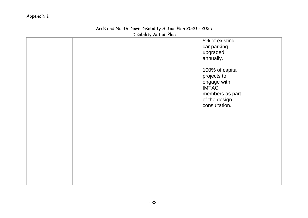| DISADIIITY ACTION FIAM |  |  |                                                                                                                    |  |  |
|------------------------|--|--|--------------------------------------------------------------------------------------------------------------------|--|--|
|                        |  |  | 5% of existing<br>car parking<br>upgraded<br>annually.                                                             |  |  |
|                        |  |  | 100% of capital<br>projects to<br>engage with<br><b>IMTAC</b><br>members as part<br>of the design<br>consultation. |  |  |
|                        |  |  |                                                                                                                    |  |  |
|                        |  |  |                                                                                                                    |  |  |

### Ards and North Down Disability Action Plan 2020 - 2025 Disability Action Plan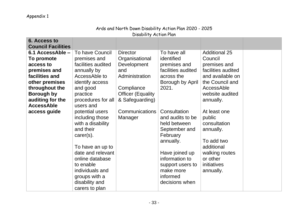| Disability Action Plan    |                                      |                          |                                  |                            |  |  |
|---------------------------|--------------------------------------|--------------------------|----------------------------------|----------------------------|--|--|
| 6. Access to              |                                      |                          |                                  |                            |  |  |
| <b>Council Facilities</b> |                                      |                          |                                  |                            |  |  |
| 6.1 AccessAble -          | To have Council                      | <b>Director</b>          | To have all                      | <b>Additional 25</b>       |  |  |
| To promote                | premises and                         | Organisational           | identified                       | Council                    |  |  |
| access to                 | facilities audited                   | Development              | premises and                     | premises and               |  |  |
| premises and              | annually by                          | and                      | facilities audited               | facilities audited         |  |  |
| facilities and            | AccessAble to                        | Administration           | across the                       | and available on           |  |  |
| other premises            | identify access                      |                          | Borough by April                 | the Council and            |  |  |
| throughout the            | and good                             | Compliance               | 2021.                            | AccessAble                 |  |  |
| <b>Borough by</b>         | practice                             | <b>Officer (Equality</b> |                                  | website audited            |  |  |
| auditing for the          | procedures for all                   | & Safeguarding)          |                                  | annually.                  |  |  |
| <b>AccessAble</b>         | users and                            |                          |                                  |                            |  |  |
| access guide              | potential users                      | Communications           | Consultation                     | At least one               |  |  |
|                           | including those                      | Manager                  | and audits to be                 | public                     |  |  |
|                           | with a disability                    |                          | held between                     | consultation               |  |  |
|                           | and their                            |                          | September and                    | annually.                  |  |  |
|                           | $care(s)$ .                          |                          | February                         |                            |  |  |
|                           |                                      |                          | annually.                        | To add two                 |  |  |
|                           | To have an up to                     |                          |                                  | additional                 |  |  |
|                           | date and relevant<br>online database |                          | Have joined up<br>information to | walking routes<br>or other |  |  |
|                           | to enable                            |                          |                                  |                            |  |  |
|                           | individuals and                      |                          | support users to<br>make more    | initiatives                |  |  |
|                           |                                      |                          | informed                         | annually.                  |  |  |
|                           | groups with a<br>disability and      |                          | decisions when                   |                            |  |  |
|                           | carers to plan                       |                          |                                  |                            |  |  |
|                           |                                      |                          |                                  |                            |  |  |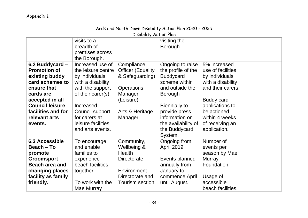# Ards and North Down Disability Action Plan 2020 - 2025

Disability Action Plan

|                                                                                                                                                                                                        | visits to a<br>breadth of<br>premises across<br>the Borough.                                                                                                                                                       |                                                                                                                                      | visiting the<br>Borough.                                                                                                                                                                                                       |                                                                                                                                                                                                           |
|--------------------------------------------------------------------------------------------------------------------------------------------------------------------------------------------------------|--------------------------------------------------------------------------------------------------------------------------------------------------------------------------------------------------------------------|--------------------------------------------------------------------------------------------------------------------------------------|--------------------------------------------------------------------------------------------------------------------------------------------------------------------------------------------------------------------------------|-----------------------------------------------------------------------------------------------------------------------------------------------------------------------------------------------------------|
| 6.2 Buddycard -<br><b>Promotion of</b><br>existing buddy<br>card schemes to<br>ensure that<br>cards are<br>accepted in all<br><b>Council leisure</b><br>facilities and for<br>relevant arts<br>events. | Increased use of<br>the leisure centre<br>by individuals<br>with a disability<br>with the support<br>of their carer(s).<br>Increased<br>Council support<br>for carers at<br>leisure facilities<br>and arts events. | Compliance<br><b>Officer (Equality</b><br>& Safeguarding)<br><b>Operations</b><br>Manager<br>(Leisure)<br>Arts & Heritage<br>Manager | Ongoing to raise<br>the profile of the<br><b>Buddycard</b><br>scheme within<br>and outside the<br><b>Borough</b><br><b>Biennially to</b><br>provide press<br>information on<br>the availability of<br>the Buddycard<br>System. | 5% increased<br>use of facilities<br>by individuals<br>with a disability<br>and their carers.<br><b>Buddy card</b><br>applications to<br>be actioned<br>within 4 weeks<br>of receiving an<br>application. |
| <b>6.3 Accessible</b><br>Beach – To<br>promote<br><b>Groomsport</b><br><b>Beach area and</b><br>changing places<br>facility as family<br>friendly.                                                     | To encourage<br>and enable<br>families to<br>experience<br>beach facilities<br>together.<br>To work with the<br>Mae Murray                                                                                         | Community,<br>Wellbeing &<br><b>Health</b><br><b>Directorate</b><br>Environment<br>Directorate and<br><b>Tourism section</b>         | Ongoing from<br>April 2019.<br>Events planned<br>annually from<br>January to<br>commence April<br>until August.                                                                                                                | Number of<br>events per<br>season by Mae<br><b>Murray</b><br>Foundation<br>Usage of<br>accessible<br>beach facilities.                                                                                    |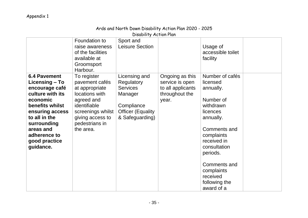# Ards and North Down Disability Action Plan 2020 - 2025

Disability Action Plan

|                                                                                                                                                                                                                          | Foundation to<br>raise awareness<br>of the facilities<br>available at<br>Groomsport<br>Harbour.                                                                         | Sport and<br><b>Leisure Section</b>                                                                                    |                                                                                    | Usage of<br>accessible toilet<br>facility                                                                                                                                                                                                     |  |
|--------------------------------------------------------------------------------------------------------------------------------------------------------------------------------------------------------------------------|-------------------------------------------------------------------------------------------------------------------------------------------------------------------------|------------------------------------------------------------------------------------------------------------------------|------------------------------------------------------------------------------------|-----------------------------------------------------------------------------------------------------------------------------------------------------------------------------------------------------------------------------------------------|--|
| <b>6.4 Pavement</b><br>Licensing – To<br>encourage café<br>culture with its<br>economic<br>benefits whilst<br>ensuring access<br>to all in the<br>surrounding<br>areas and<br>adherence to<br>good practice<br>guidance. | To register<br>pavement cafés<br>at appropriate<br>locations with<br>agreed and<br>identifiable<br>screenings whilst<br>giving access to<br>pedestrians in<br>the area. | Licensing and<br>Regulatory<br><b>Services</b><br>Manager<br>Compliance<br><b>Officer (Equality</b><br>& Safeguarding) | Ongoing as this<br>service is open<br>to all applicants<br>throughout the<br>year. | Number of cafés<br>licensed<br>annually.<br>Number of<br>withdrawn<br>licences<br>annually.<br>Comments and<br>complaints<br>received in<br>consultation<br>periods.<br>Comments and<br>complaints<br>received<br>following the<br>award of a |  |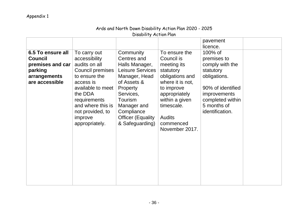| Disability Action Plan                                                                               |                                                                                                                                                                                                                               |                                                                                                                                                                                                                              |                                                                                                                                                                                                               |                                                                                                                                                                          |  |  |
|------------------------------------------------------------------------------------------------------|-------------------------------------------------------------------------------------------------------------------------------------------------------------------------------------------------------------------------------|------------------------------------------------------------------------------------------------------------------------------------------------------------------------------------------------------------------------------|---------------------------------------------------------------------------------------------------------------------------------------------------------------------------------------------------------------|--------------------------------------------------------------------------------------------------------------------------------------------------------------------------|--|--|
|                                                                                                      |                                                                                                                                                                                                                               |                                                                                                                                                                                                                              |                                                                                                                                                                                                               | pavement<br>licence.                                                                                                                                                     |  |  |
| 6.5 To ensure all<br><b>Council</b><br>premises and car<br>parking<br>arrangements<br>are accessible | To carry out<br>accessibility<br>audits on all<br><b>Council premises</b><br>to ensure the<br>access is<br>available to meet<br>the DDA<br>requirements<br>and where this is<br>not provided, to<br>improve<br>appropriately. | Community<br>Centres and<br>Halls Manager,<br><b>Leisure Services</b><br>Manager, Head<br>of Assets &<br><b>Property</b><br>Services,<br>Tourism<br>Manager and<br>Compliance<br><b>Officer (Equality</b><br>& Safeguarding) | To ensure the<br>Council is<br>meeting its<br>statutory<br>obligations and<br>where it is not,<br>to improve<br>appropriately<br>within a given<br>timescale.<br><b>Audits</b><br>commenced<br>November 2017. | 100% of<br>premises to<br>comply with the<br>statutory<br>obligations.<br>90% of identified<br><i>improvements</i><br>completed within<br>5 months of<br>identification. |  |  |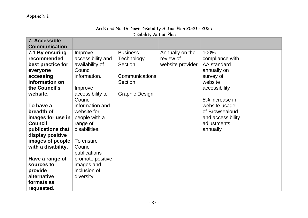| DISADIIITY ACTION PIAN |                   |                       |                  |                   |  |  |
|------------------------|-------------------|-----------------------|------------------|-------------------|--|--|
| 7. Accessible          |                   |                       |                  |                   |  |  |
| <b>Communication</b>   |                   |                       |                  |                   |  |  |
| 7.1 By ensuring        | Improve           | <b>Business</b>       | Annually on the  | 100%              |  |  |
| recommended            | accessibility and | Technology            | review of        | compliance with   |  |  |
| best practice for      | availability of   | Section.              | website provider | AA standard       |  |  |
| everyone               | Council           |                       |                  | annually on       |  |  |
| accessing              | information.      | Communications        |                  | survey of         |  |  |
| information on         |                   | <b>Section</b>        |                  | website           |  |  |
| the Council's          | Improve           |                       |                  | accessibility     |  |  |
| website.               | accessibility to  | <b>Graphic Design</b> |                  |                   |  |  |
|                        | Council           |                       |                  | 5% increase in    |  |  |
| To have a              | information and   |                       |                  | website usage     |  |  |
| breadth of             | website for       |                       |                  | of Browsealoud    |  |  |
| images for use in      | people with a     |                       |                  | and accessibility |  |  |
| <b>Council</b>         | range of          |                       |                  | adjustments       |  |  |
| publications that      | disabilities.     |                       |                  | annually          |  |  |
| display positive       |                   |                       |                  |                   |  |  |
| images of people       | To ensure         |                       |                  |                   |  |  |
| with a disability.     | Council           |                       |                  |                   |  |  |
|                        | publications      |                       |                  |                   |  |  |
| Have a range of        | promote positive  |                       |                  |                   |  |  |
| sources to             | images and        |                       |                  |                   |  |  |
| provide                | inclusion of      |                       |                  |                   |  |  |
| alternative            | diversity.        |                       |                  |                   |  |  |
| formats as             |                   |                       |                  |                   |  |  |
| requested.             |                   |                       |                  |                   |  |  |

### Ards and North Down Disability Action Plan 2020 - 2025 Disability Action Plan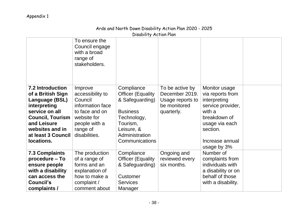### Ards and North Down Disability Action Plan 2020 - 2025 Disability Action Plan

|                                | To ensure the<br>Council engage<br>with a broad<br>range of<br>stakeholders. |                              |                  |                            |  |
|--------------------------------|------------------------------------------------------------------------------|------------------------------|------------------|----------------------------|--|
| <b>7.2 Introduction</b>        | Improve                                                                      | Compliance                   | To be active by  | Monitor usage              |  |
| of a British Sign              | accessibility to                                                             | <b>Officer (Equality</b>     | December 2019.   | via reports from           |  |
| Language (BSL)                 | Council                                                                      | & Safeguarding)              | Usage reports to | interpreting               |  |
| interpreting                   | information face                                                             |                              | be monitored     | service provider,          |  |
| service on all                 | to face and on                                                               | <b>Business</b>              | quarterly.       | with a                     |  |
| <b>Council, Tourism</b>        | website for                                                                  | Technology,                  |                  | breakdown of               |  |
| and Leisure<br>websites and in | people with a                                                                | Tourism,                     |                  | usage via each<br>section. |  |
| at least 3 Council             | range of<br>disabilities.                                                    | Leisure, &<br>Administration |                  |                            |  |
| locations.                     |                                                                              | Communications               |                  | Increase annual            |  |
|                                |                                                                              |                              |                  | usage by 3%                |  |
| <b>7.3 Complaints</b>          | The production                                                               | Compliance                   | Ongoing and      | Number of                  |  |
| procedure - To                 | of a range of                                                                | <b>Officer (Equality</b>     | reviewed every   | complaints from            |  |
| ensure people                  | forms and an                                                                 | & Safeguarding)              | six months.      | individuals with           |  |
| with a disability              | explanation of                                                               |                              |                  | a disability or on         |  |
| can access the                 | how to make a                                                                | Customer                     |                  | behalf of those            |  |
| Council's                      | complaint /                                                                  | <b>Services</b>              |                  | with a disability.         |  |
| complaints /                   | comment about                                                                | Manager                      |                  |                            |  |